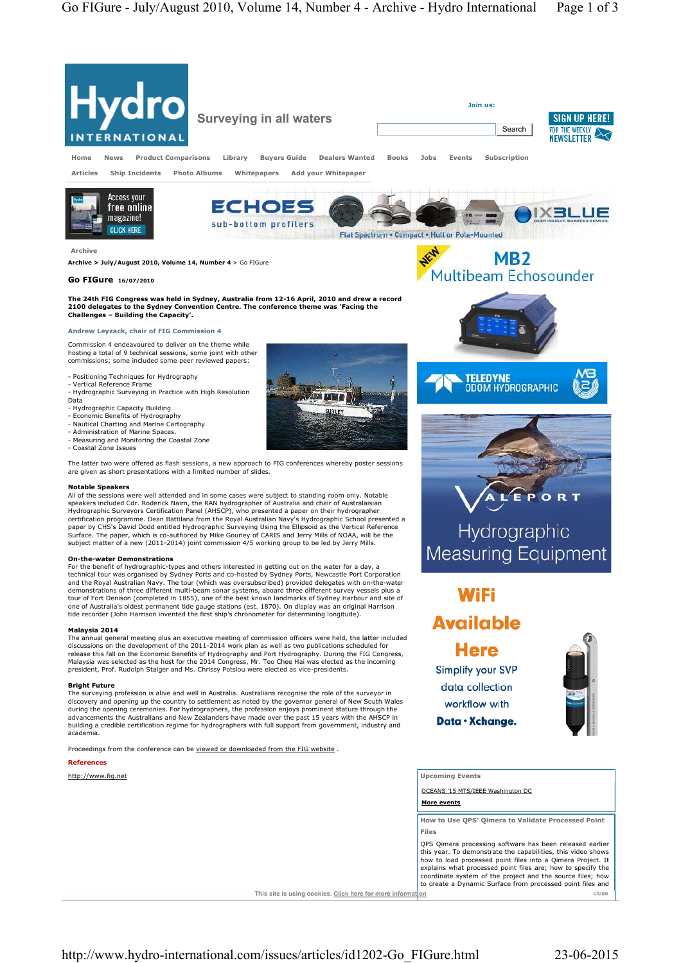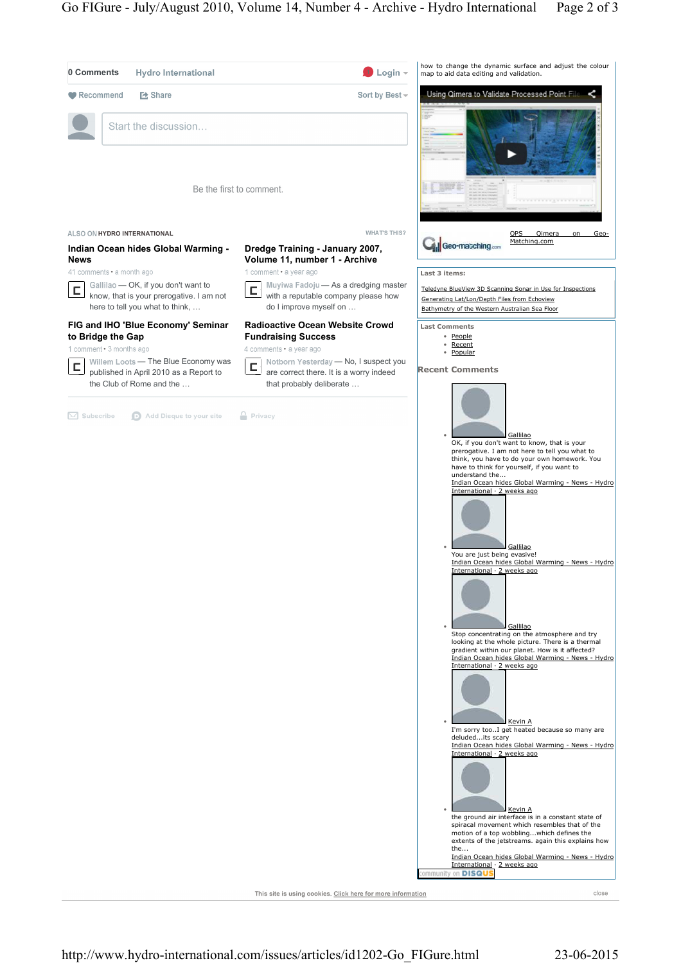

This site is using cookies. Click here for more information